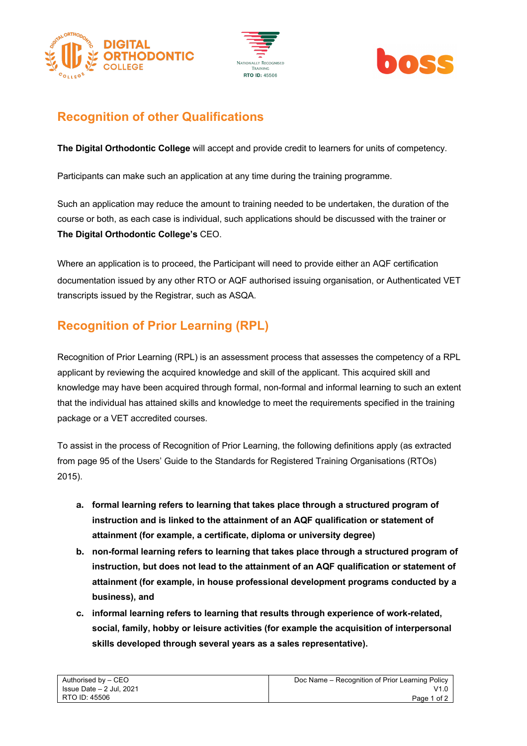





## **Recognition of other Qualifications**

**The Digital Orthodontic College** will accept and provide credit to learners for units of competency.

Participants can make such an application at any time during the training programme.

Such an application may reduce the amount to training needed to be undertaken, the duration of the course or both, as each case is individual, such applications should be discussed with the trainer or **The Digital Orthodontic College's** CEO.

Where an application is to proceed, the Participant will need to provide either an AQF certification documentation issued by any other RTO or AQF authorised issuing organisation, or Authenticated VET transcripts issued by the Registrar, such as ASQA.

## **Recognition of Prior Learning (RPL)**

Recognition of Prior Learning (RPL) is an assessment process that assesses the competency of a RPL applicant by reviewing the acquired knowledge and skill of the applicant. This acquired skill and knowledge may have been acquired through formal, non-formal and informal learning to such an extent that the individual has attained skills and knowledge to meet the requirements specified in the training package or a VET accredited courses.

To assist in the process of Recognition of Prior Learning, the following definitions apply (as extracted from page 95 of the Users' Guide to the Standards for Registered Training Organisations (RTOs) 2015).

- **a. formal learning refers to learning that takes place through a structured program of instruction and is linked to the attainment of an AQF qualification or statement of attainment (for example, a certificate, diploma or university degree)**
- **b. non-formal learning refers to learning that takes place through a structured program of instruction, but does not lead to the attainment of an AQF qualification or statement of attainment (for example, in house professional development programs conducted by a business), and**
- **c. informal learning refers to learning that results through experience of work-related, social, family, hobby or leisure activities (for example the acquisition of interpersonal skills developed through several years as a sales representative).**